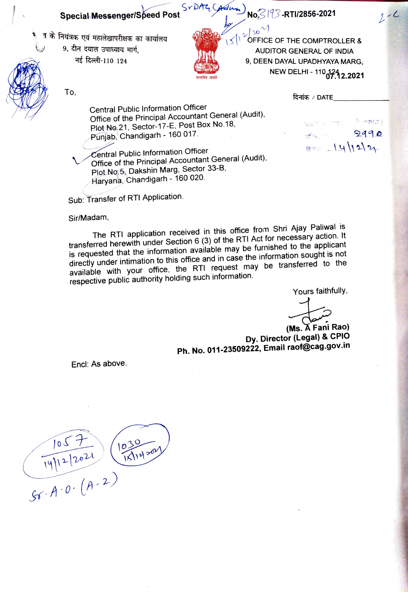## Special Messenger/Speed Post SrDAZ CAdman No<sup>2</sup> 13-RTI/2856-2021

- -



 $\frac{1}{\sqrt{2}}\sqrt{\frac{1}{2} \int_{0}^{\infty}}$ OFFICE OF THE COMPTROLLER & <sup>त के</sup> नियंत्रक एवं महालेखापरीक्षक का कार्यालय स्थानी को स्थापिक स्थापिक का अन्याय करते हैं। अन्याय पानी का अन्<br>अन्याय समीप अन्याय मार्ग, अन्याय सार्ग, अन्याय समीप विद्या का अन्याय अन्याय अन्याय अन्याय अन्याय अन्याय अन्य  $\frac{1}{2}$  T f  $\frac{1}{2}$   $\frac{1}{2}$  9, DEEN DAYAL UPADHYAYA MARG, NEW DELHI- 11072.2021

 $\mathsf{To}, \mathsf{R}$  and  $\mathsf{OPT}$  are  $\mathsf{OPT}$  and  $\mathsf{OPT}$  are  $\mathsf{OPT}$  and  $\mathsf{OPT}$ 

 $\tau_{\rm EFT}$  in the control  $\mathbb{P}$  -matrix  $\mathbb{I}$ 

 $8 = 14/22$ 

afactory of the

2990

 $2 - C$ 

Central Public Information Officer Office of the Principal Accountant General (Audit), Plot No.21, Sector-17-E, Post Box No.18, Punjab, Chandigarh - 160 017.

Central Public Information Officer Office of the Principal Accountant General (Audit). Plot No.5, Dakshin Marg, Sector 33-B, Haryana, Chandigarh - 160 020.

Sub: Transfer of RTI Application.

Sir/Madam,

The RTI application received in this office from Shri Ajay Paliwal is transferred herewith under Section 6 (3) of the RTI Act for necessary action. It is requested that the information available may be furnished to the applicant directly under intimation to this office and in case the information sought is not available with your office, the RTI request may be transferred to the respective public authority holding such information.

Yours faithfully,

شيعي<del>لي</del>

(Ms. A Fani Rao) Dy. Director (Legal) & CPIO Ph. No. 011-23509222, Email raof@cag.gov.in

Encl: As above.

 $105 + 12021$  $1030$  $\sqrt{A \cdot 0 \cdot (A \cdot 2)}$